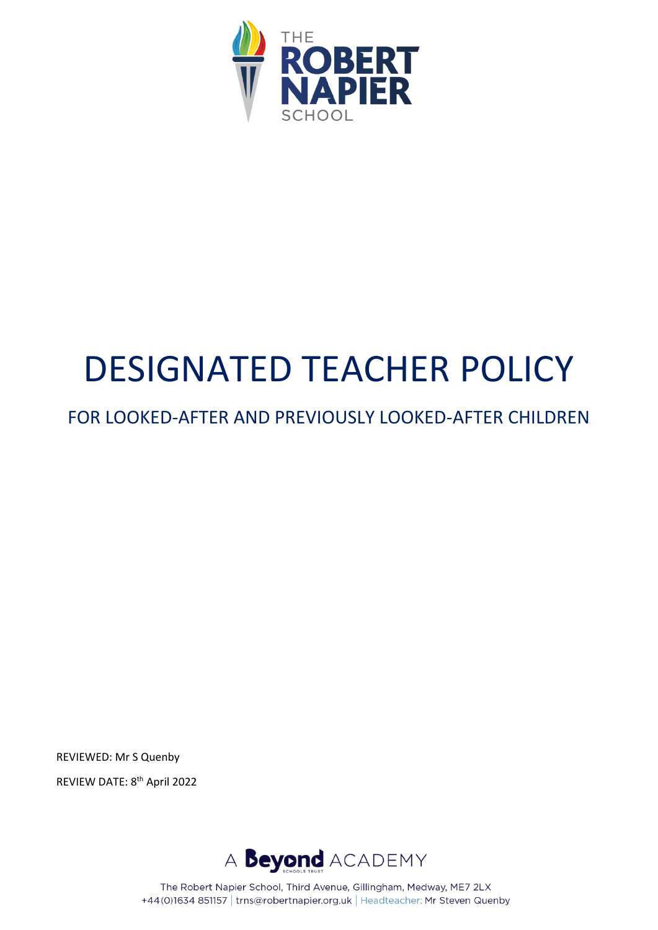

# DESIGNATED TEACHER POLICY

FOR LOOKED-AFTER AND PREVIOUSLY LOOKED-AFTER CHILDREN

REVIEWED: Mr S Quenby REVIEW DATE: 8 th April 2022



The Robert Napier School, Third Avenue, Gillingham, Medway, ME7 2LX +44(0)1634 851157 | trns@robertnapier.org.uk | Headteacher: Mr Steven Quenby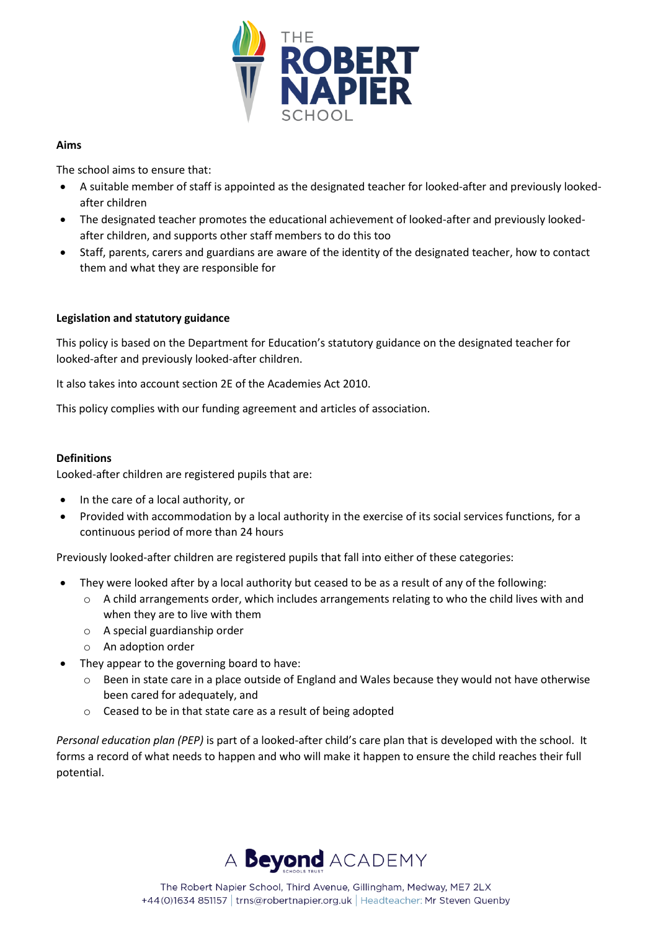

#### **Aims**

The school aims to ensure that:

- A suitable member of staff is appointed as the designated teacher for looked-after and previously lookedafter children
- The designated teacher promotes the educational achievement of looked-after and previously lookedafter children, and supports other staff members to do this too
- Staff, parents, carers and guardians are aware of the identity of the designated teacher, how to contact them and what they are responsible for

# **Legislation and statutory guidance**

This policy is based on the Department for Education's statutory guidance on the designated teacher for looked-after and previously looked-after children.

It also takes into account section 2E of the Academies Act 2010.

This policy complies with our funding agreement and articles of association.

#### **Definitions**

Looked-after children are registered pupils that are:

- In the care of a local authority, or
- Provided with accommodation by a local authority in the exercise of its social services functions, for a continuous period of more than 24 hours

Previously looked-after children are registered pupils that fall into either of these categories:

- They were looked after by a local authority but ceased to be as a result of any of the following:
	- o A child arrangements order, which includes arrangements relating to who the child lives with and when they are to live with them
	- o A special guardianship order
	- o An adoption order
- They appear to the governing board to have:
	- o Been in state care in a place outside of England and Wales because they would not have otherwise been cared for adequately, and
	- o Ceased to be in that state care as a result of being adopted

*Personal education plan (PEP)* is part of a looked-after child's care plan that is developed with the school. It forms a record of what needs to happen and who will make it happen to ensure the child reaches their full potential.

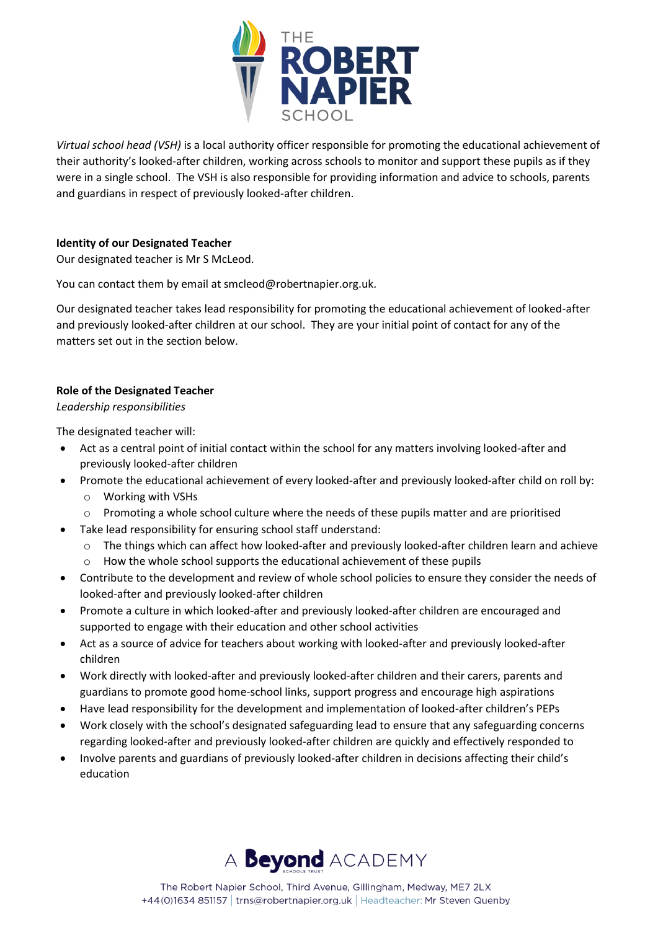

*Virtual school head (VSH)* is a local authority officer responsible for promoting the educational achievement of their authority's looked-after children, working across schools to monitor and support these pupils as if they were in a single school. The VSH is also responsible for providing information and advice to schools, parents and guardians in respect of previously looked-after children.

# **Identity of our Designated Teacher**

Our designated teacher is Mr S McLeod.

You can contact them by email at smcleod@robertnapier.org.uk.

Our designated teacher takes lead responsibility for promoting the educational achievement of looked-after and previously looked-after children at our school. They are your initial point of contact for any of the matters set out in the section below.

# **Role of the Designated Teacher**

*Leadership responsibilities*

The designated teacher will:

- Act as a central point of initial contact within the school for any matters involving looked-after and previously looked-after children
- Promote the educational achievement of every looked-after and previously looked-after child on roll by:
	- o Working with VSHs
	- o Promoting a whole school culture where the needs of these pupils matter and are prioritised
- Take lead responsibility for ensuring school staff understand:
	- o The things which can affect how looked-after and previously looked-after children learn and achieve
	- o How the whole school supports the educational achievement of these pupils
- Contribute to the development and review of whole school policies to ensure they consider the needs of looked-after and previously looked-after children
- Promote a culture in which looked-after and previously looked-after children are encouraged and supported to engage with their education and other school activities
- Act as a source of advice for teachers about working with looked-after and previously looked-after children
- Work directly with looked-after and previously looked-after children and their carers, parents and guardians to promote good home-school links, support progress and encourage high aspirations
- Have lead responsibility for the development and implementation of looked-after children's PEPs
- Work closely with the school's designated safeguarding lead to ensure that any safeguarding concerns regarding looked-after and previously looked-after children are quickly and effectively responded to
- Involve parents and guardians of previously looked-after children in decisions affecting their child's education

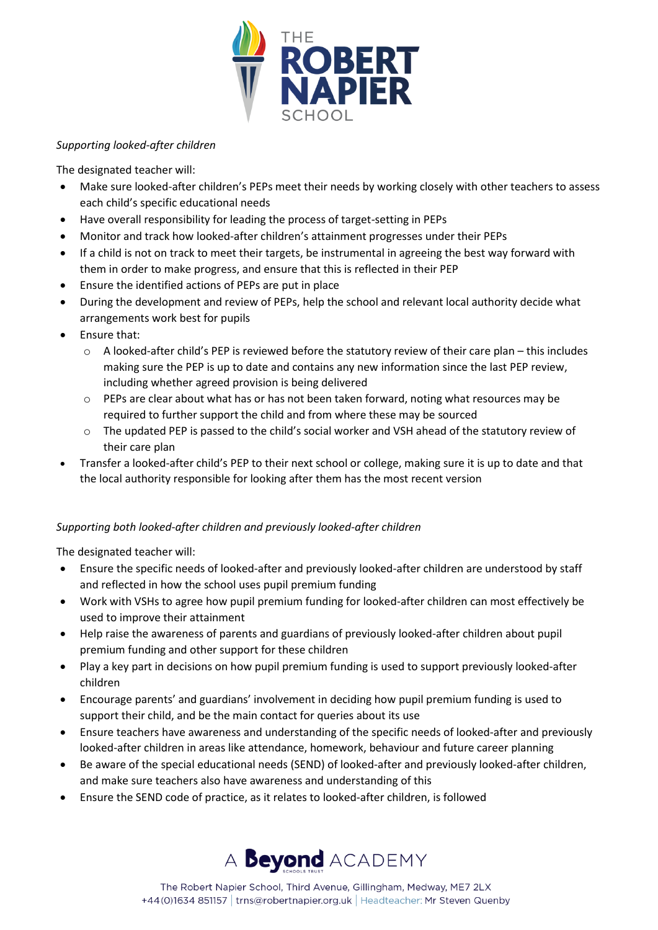

#### *Supporting looked-after children*

The designated teacher will:

- Make sure looked-after children's PEPs meet their needs by working closely with other teachers to assess each child's specific educational needs
- Have overall responsibility for leading the process of target-setting in PEPs
- Monitor and track how looked-after children's attainment progresses under their PEPs
- If a child is not on track to meet their targets, be instrumental in agreeing the best way forward with them in order to make progress, and ensure that this is reflected in their PEP
- Ensure the identified actions of PEPs are put in place
- During the development and review of PEPs, help the school and relevant local authority decide what arrangements work best for pupils
- Ensure that:
	- $\circ$  A looked-after child's PEP is reviewed before the statutory review of their care plan this includes making sure the PEP is up to date and contains any new information since the last PEP review, including whether agreed provision is being delivered
	- o PEPs are clear about what has or has not been taken forward, noting what resources may be required to further support the child and from where these may be sourced
	- $\circ$  The updated PEP is passed to the child's social worker and VSH ahead of the statutory review of their care plan
- Transfer a looked-after child's PEP to their next school or college, making sure it is up to date and that the local authority responsible for looking after them has the most recent version

# *Supporting both looked-after children and previously looked-after children*

The designated teacher will:

- Ensure the specific needs of looked-after and previously looked-after children are understood by staff and reflected in how the school uses pupil premium funding
- Work with VSHs to agree how pupil premium funding for looked-after children can most effectively be used to improve their attainment
- Help raise the awareness of parents and guardians of previously looked-after children about pupil premium funding and other support for these children
- Play a key part in decisions on how pupil premium funding is used to support previously looked-after children
- Encourage parents' and guardians' involvement in deciding how pupil premium funding is used to support their child, and be the main contact for queries about its use
- Ensure teachers have awareness and understanding of the specific needs of looked-after and previously looked-after children in areas like attendance, homework, behaviour and future career planning
- Be aware of the special educational needs (SEND) of looked-after and previously looked-after children, and make sure teachers also have awareness and understanding of this
- Ensure the SEND code of practice, as it relates to looked-after children, is followed

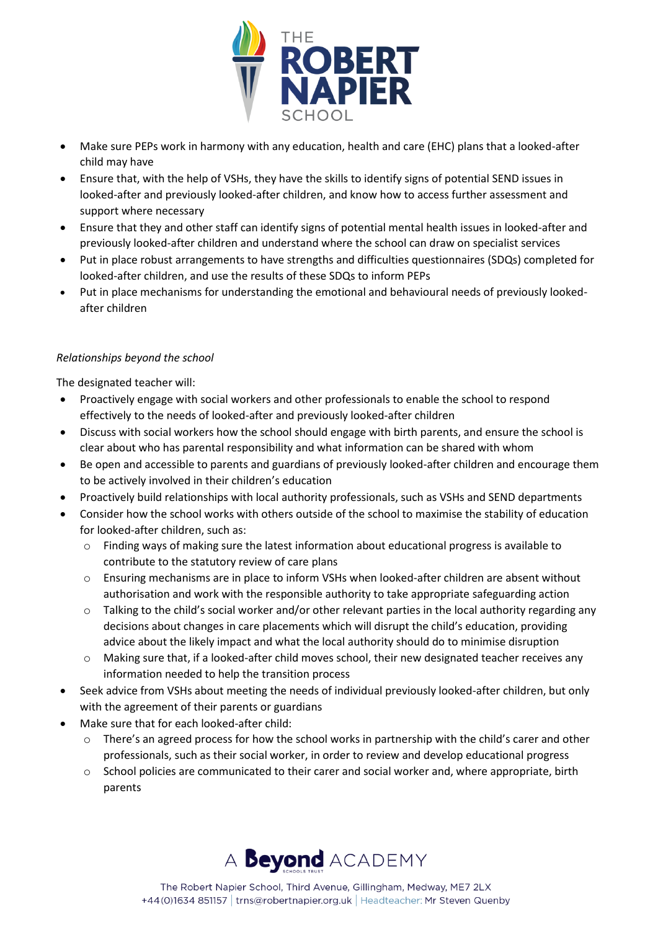

- Make sure PEPs work in harmony with any education, health and care (EHC) plans that a looked-after child may have
- Ensure that, with the help of VSHs, they have the skills to identify signs of potential SEND issues in looked-after and previously looked-after children, and know how to access further assessment and support where necessary
- Ensure that they and other staff can identify signs of potential mental health issues in looked-after and previously looked-after children and understand where the school can draw on specialist services
- Put in place robust arrangements to have strengths and difficulties questionnaires (SDQs) completed for looked-after children, and use the results of these SDQs to inform PEPs
- Put in place mechanisms for understanding the emotional and behavioural needs of previously lookedafter children

# *Relationships beyond the school*

The designated teacher will:

- Proactively engage with social workers and other professionals to enable the school to respond effectively to the needs of looked-after and previously looked-after children
- Discuss with social workers how the school should engage with birth parents, and ensure the school is clear about who has parental responsibility and what information can be shared with whom
- Be open and accessible to parents and guardians of previously looked-after children and encourage them to be actively involved in their children's education
- Proactively build relationships with local authority professionals, such as VSHs and SEND departments
- Consider how the school works with others outside of the school to maximise the stability of education for looked-after children, such as:
	- o Finding ways of making sure the latest information about educational progress is available to contribute to the statutory review of care plans
	- o Ensuring mechanisms are in place to inform VSHs when looked-after children are absent without authorisation and work with the responsible authority to take appropriate safeguarding action
	- $\circ$  Talking to the child's social worker and/or other relevant parties in the local authority regarding any decisions about changes in care placements which will disrupt the child's education, providing advice about the likely impact and what the local authority should do to minimise disruption
	- o Making sure that, if a looked-after child moves school, their new designated teacher receives any information needed to help the transition process
- Seek advice from VSHs about meeting the needs of individual previously looked-after children, but only with the agreement of their parents or guardians
- Make sure that for each looked-after child:
	- o There's an agreed process for how the school works in partnership with the child's carer and other professionals, such as their social worker, in order to review and develop educational progress
	- o School policies are communicated to their carer and social worker and, where appropriate, birth parents